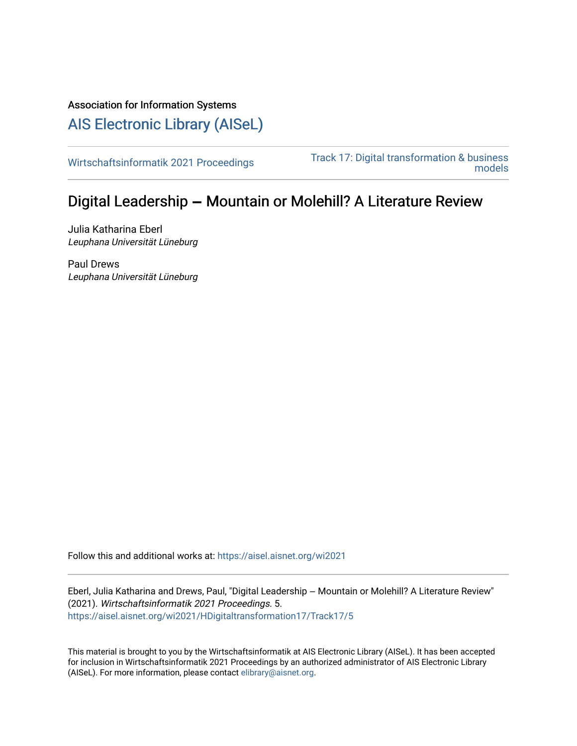Association for Information Systems

# [AIS Electronic Library \(AISeL\)](https://aisel.aisnet.org/)

[Wirtschaftsinformatik 2021 Proceedings](https://aisel.aisnet.org/wi2021) Track 17: Digital transformation & business [models](https://aisel.aisnet.org/wi2021/HDigitaltransformation17) 

# Digital Leadership - Mountain or Molehill? A Literature Review

Julia Katharina Eberl Leuphana Universität Lüneburg

Paul Drews Leuphana Universität Lüneburg

Follow this and additional works at: [https://aisel.aisnet.org/wi2021](https://aisel.aisnet.org/wi2021?utm_source=aisel.aisnet.org%2Fwi2021%2FHDigitaltransformation17%2FTrack17%2F5&utm_medium=PDF&utm_campaign=PDFCoverPages) 

Eberl, Julia Katharina and Drews, Paul, "Digital Leadership - Mountain or Molehill? A Literature Review" (2021). Wirtschaftsinformatik 2021 Proceedings. 5. [https://aisel.aisnet.org/wi2021/HDigitaltransformation17/Track17/5](https://aisel.aisnet.org/wi2021/HDigitaltransformation17/Track17/5?utm_source=aisel.aisnet.org%2Fwi2021%2FHDigitaltransformation17%2FTrack17%2F5&utm_medium=PDF&utm_campaign=PDFCoverPages)

This material is brought to you by the Wirtschaftsinformatik at AIS Electronic Library (AISeL). It has been accepted for inclusion in Wirtschaftsinformatik 2021 Proceedings by an authorized administrator of AIS Electronic Library (AISeL). For more information, please contact [elibrary@aisnet.org](mailto:elibrary@aisnet.org%3E).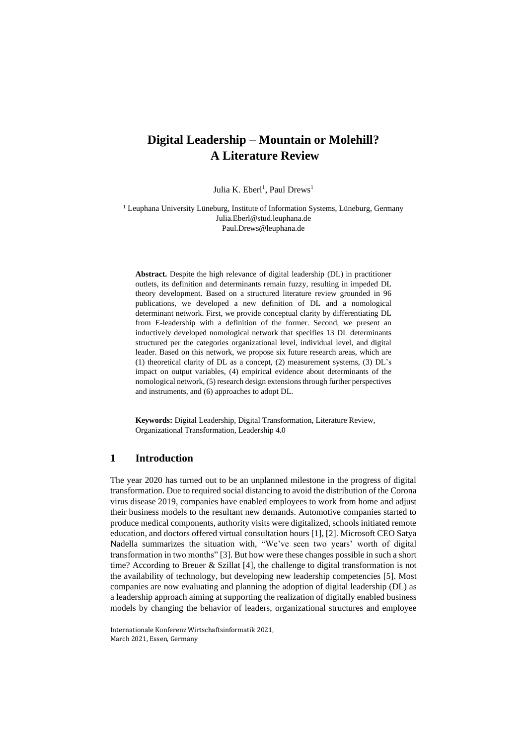## **Digital Leadership ‒ Mountain or Molehill? A Literature Review**

Julia K. Eberl<sup>1</sup>, Paul Drews<sup>1</sup>

<sup>1</sup> Leuphana University Lüneburg, Institute of Information Systems, Lüneburg, Germany [Julia.Eberl@stud.leuphana.de](mailto:Julia.Eberl@stud.leuphana.de) Paul.Drews@leuphana.de

**Abstract.** Despite the high relevance of digital leadership (DL) in practitioner outlets, its definition and determinants remain fuzzy, resulting in impeded DL theory development. Based on a structured literature review grounded in 96 publications, we developed a new definition of DL and a nomological determinant network. First, we provide conceptual clarity by differentiating DL from E-leadership with a definition of the former. Second, we present an inductively developed nomological network that specifies 13 DL determinants structured per the categories organizational level, individual level, and digital leader. Based on this network, we propose six future research areas, which are (1) theoretical clarity of DL as a concept, (2) measurement systems, (3) DL's impact on output variables, (4) empirical evidence about determinants of the nomological network, (5) research design extensionsthrough further perspectives and instruments, and (6) approaches to adopt DL.

**Keywords:** Digital Leadership, Digital Transformation, Literature Review, Organizational Transformation, Leadership 4.0

### **1 Introduction**

The year 2020 has turned out to be an unplanned milestone in the progress of digital transformation. Due to required social distancing to avoid the distribution of the Corona virus disease 2019, companies have enabled employees to work from home and adjust their business models to the resultant new demands. Automotive companies started to produce medical components, authority visits were digitalized, schools initiated remote education, and doctors offered virtual consultation hours [1], [2]. Microsoft CEO Satya Nadella summarizes the situation with, "We've seen two years' worth of digital transformation in two months" [3]. But how were these changes possible in such a short time? According to Breuer & Szillat [4], the challenge to digital transformation is not the availability of technology, but developing new leadership competencies [5]. Most companies are now evaluating and planning the adoption of digital leadership (DL) as a leadership approach aiming at supporting the realization of digitally enabled business models by changing the behavior of leaders, organizational structures and employee

Internationale Konferenz Wirtschaftsinformatik 2021, March 2021, Essen, Germany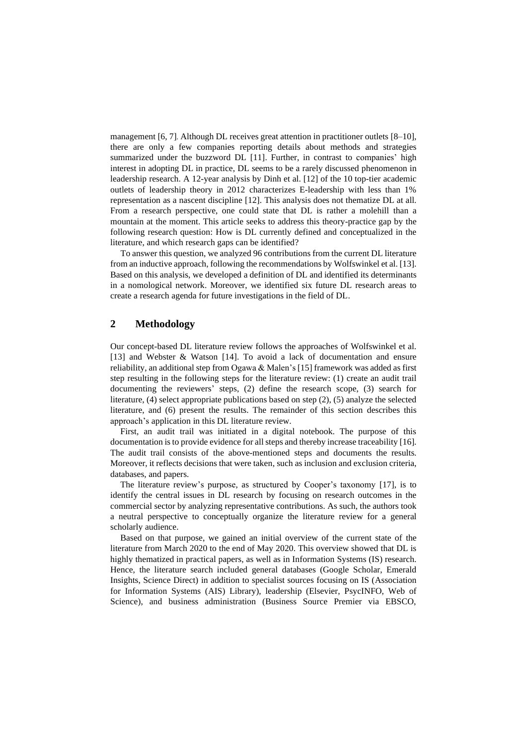management [6, 7]. Although DL receives great attention in practitioner outlets [8–10], there are only a few companies reporting details about methods and strategies summarized under the buzzword DL [11]. Further, in contrast to companies' high interest in adopting DL in practice, DL seems to be a rarely discussed phenomenon in leadership research. A 12-year analysis by Dinh et al. [12] of the 10 top-tier academic outlets of leadership theory in 2012 characterizes E-leadership with less than 1% representation as a nascent discipline [12]. This analysis does not thematize DL at all. From a research perspective, one could state that DL is rather a molehill than a mountain at the moment. This article seeks to address this theory-practice gap by the following research question: How is DL currently defined and conceptualized in the literature, and which research gaps can be identified?

To answer this question, we analyzed 96 contributions from the current DL literature from an inductive approach, following the recommendations by Wolfswinkel et al. [13]. Based on this analysis, we developed a definition of DL and identified its determinants in a nomological network. Moreover, we identified six future DL research areas to create a research agenda for future investigations in the field of DL.

### **2 Methodology**

Our concept-based DL literature review follows the approaches of Wolfswinkel et al. [13] and Webster & Watson [14]. To avoid a lack of documentation and ensure reliability, an additional step from Ogawa & Malen's [15] framework was added as first step resulting in the following steps for the literature review: (1) create an audit trail documenting the reviewers' steps, (2) define the research scope, (3) search for literature, (4) select appropriate publications based on step (2), (5) analyze the selected literature, and (6) present the results. The remainder of this section describes this approach's application in this DL literature review.

First, an audit trail was initiated in a digital notebook. The purpose of this documentation is to provide evidence for all steps and thereby increase traceability [16]. The audit trail consists of the above-mentioned steps and documents the results. Moreover, it reflects decisions that were taken, such as inclusion and exclusion criteria, databases, and papers.

The literature review's purpose, as structured by Cooper's taxonomy [17], is to identify the central issues in DL research by focusing on research outcomes in the commercial sector by analyzing representative contributions. As such, the authors took a neutral perspective to conceptually organize the literature review for a general scholarly audience.

Based on that purpose, we gained an initial overview of the current state of the literature from March 2020 to the end of May 2020. This overview showed that DL is highly thematized in practical papers, as well as in Information Systems (IS) research. Hence, the literature search included general databases (Google Scholar, Emerald Insights, Science Direct) in addition to specialist sources focusing on IS (Association for Information Systems (AIS) Library), leadership (Elsevier, PsycINFO, Web of Science), and business administration (Business Source Premier via EBSCO,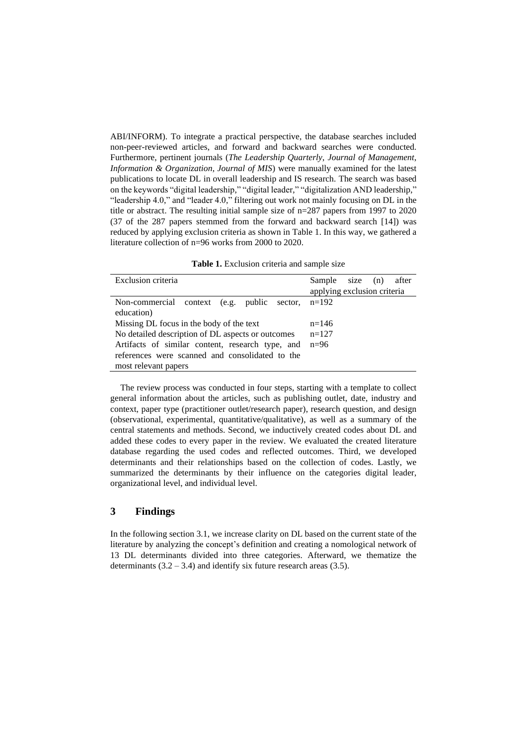ABI/INFORM). To integrate a practical perspective, the database searches included non-peer-reviewed articles, and forward and backward searches were conducted. Furthermore, pertinent journals (*The Leadership Quarterly*, *Journal of Management*, *Information & Organization*, *Journal of MIS*) were manually examined for the latest publications to locate DL in overall leadership and IS research. The search was based on the keywords "digital leadership," "digital leader," "digitalization AND leadership," "leadership 4.0," and "leader 4.0," filtering out work not mainly focusing on DL in the title or abstract. The resulting initial sample size of n=287 papers from 1997 to 2020 (37 of the 287 papers stemmed from the forward and backward search [14]) was reduced by applying exclusion criteria as shown in Table 1. In this way, we gathered a literature collection of n=96 works from 2000 to 2020.

**Table 1.** Exclusion criteria and sample size

| Exclusion criteria                                | Sample<br>after<br>size<br>(n) |
|---------------------------------------------------|--------------------------------|
|                                                   | applying exclusion criteria    |
|                                                   |                                |
| Non-commercial context (e.g. public<br>sector,    | $n=192$                        |
| education)                                        |                                |
| Missing DL focus in the body of the text          | $n = 146$                      |
| No detailed description of DL aspects or outcomes | $n=127$                        |
| Artifacts of similar content, research type, and  | $n=96$                         |
| references were scanned and consolidated to the   |                                |
| most relevant papers                              |                                |

The review process was conducted in four steps, starting with a template to collect general information about the articles, such as publishing outlet, date, industry and context, paper type (practitioner outlet/research paper), research question, and design (observational, experimental, quantitative/qualitative), as well as a summary of the central statements and methods. Second, we inductively created codes about DL and added these codes to every paper in the review. We evaluated the created literature database regarding the used codes and reflected outcomes. Third, we developed determinants and their relationships based on the collection of codes. Lastly, we summarized the determinants by their influence on the categories digital leader, organizational level, and individual level.

## **3 Findings**

In the following section 3.1, we increase clarity on DL based on the current state of the literature by analyzing the concept's definition and creating a nomological network of 13 DL determinants divided into three categories. Afterward, we thematize the determinants  $(3.2 - 3.4)$  and identify six future research areas  $(3.5)$ .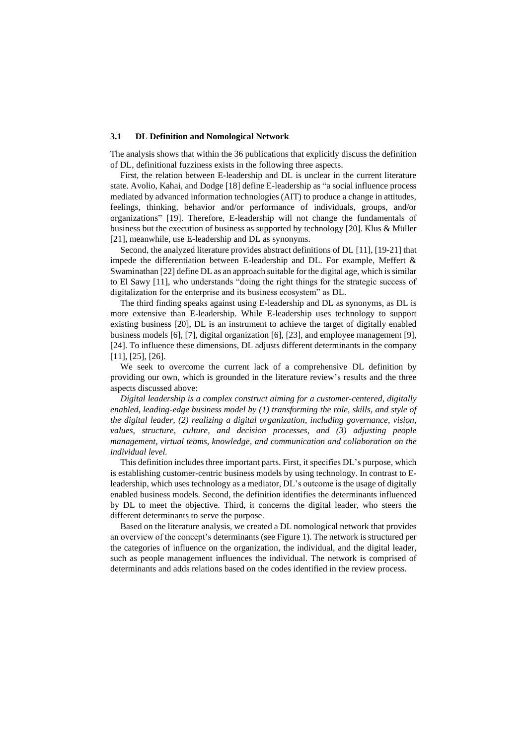#### **3.1 DL Definition and Nomological Network**

The analysis shows that within the 36 publications that explicitly discuss the definition of DL, definitional fuzziness exists in the following three aspects.

First, the relation between E-leadership and DL is unclear in the current literature state. Avolio, Kahai, and Dodge [18] define E-leadership as "a social influence process mediated by advanced information technologies (AIT) to produce a change in attitudes, feelings, thinking, behavior and/or performance of individuals, groups, and/or organizations" [19]. Therefore, E-leadership will not change the fundamentals of business but the execution of business as supported by technology [20]. Klus & Müller [21], meanwhile, use E-leadership and DL as synonyms.

Second, the analyzed literature provides abstract definitions of DL [11], [19-21] that impede the differentiation between E-leadership and DL. For example, Meffert & Swaminathan [22] define DL as an approach suitable for the digital age, which is similar to El Sawy [11], who understands "doing the right things for the strategic success of digitalization for the enterprise and its business ecosystem" as DL.

The third finding speaks against using E-leadership and DL as synonyms, as DL is more extensive than E-leadership. While E-leadership uses technology to support existing business [20], DL is an instrument to achieve the target of digitally enabled business models [6], [7], digital organization [6], [23], and employee management [9], [24]. To influence these dimensions, DL adjusts different determinants in the company [11], [25], [26].

We seek to overcome the current lack of a comprehensive DL definition by providing our own, which is grounded in the literature review's results and the three aspects discussed above:

*Digital leadership is a complex construct aiming for a customer-centered, digitally enabled, leading-edge business model by (1) transforming the role, skills, and style of the digital leader, (2) realizing a digital organization, including governance, vision, values, structure, culture, and decision processes, and (3) adjusting people management, virtual teams, knowledge, and communication and collaboration on the individual level.*

This definition includes three important parts. First, it specifies DL's purpose, which is establishing customer-centric business models by using technology. In contrast to Eleadership, which uses technology as a mediator, DL's outcome is the usage of digitally enabled business models. Second, the definition identifies the determinants influenced by DL to meet the objective. Third, it concerns the digital leader, who steers the different determinants to serve the purpose.

Based on the literature analysis, we created a DL nomological network that provides an overview of the concept's determinants (see Figure 1). The network is structured per the categories of influence on the organization, the individual, and the digital leader, such as people management influences the individual. The network is comprised of determinants and adds relations based on the codes identified in the review process.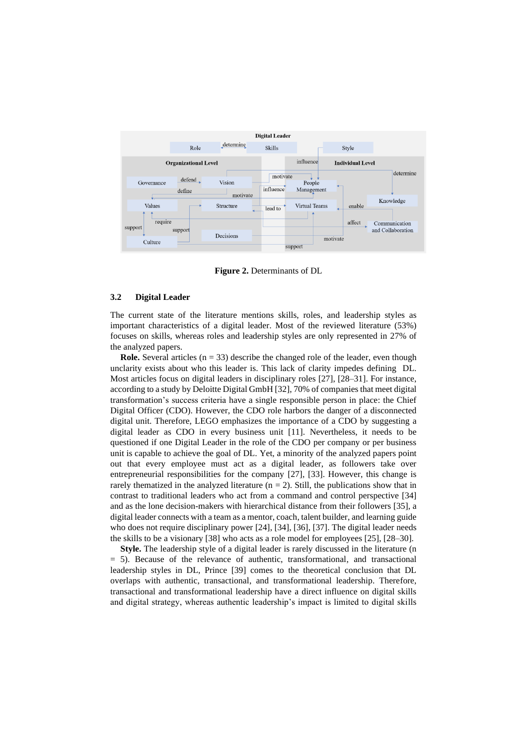

**Figure 2.** Determinants of DL

#### **3.2 Digital Leader**

The current state of the literature mentions skills, roles, and leadership styles as important characteristics of a digital leader. Most of the reviewed literature (53%) focuses on skills, whereas roles and leadership styles are only represented in 27% of the analyzed papers.

**Role.** Several articles  $(n = 33)$  describe the changed role of the leader, even though unclarity exists about who this leader is. This lack of clarity impedes defining DL. Most articles focus on digital leaders in disciplinary roles [27], [28–31]. For instance, according to a study by Deloitte Digital GmbH [32], 70% of companies that meet digital transformation's success criteria have a single responsible person in place: the Chief Digital Officer (CDO). However, the CDO role harbors the danger of a disconnected digital unit. Therefore, LEGO emphasizes the importance of a CDO by suggesting a digital leader as CDO in every business unit [11]. Nevertheless, it needs to be questioned if one Digital Leader in the role of the CDO per company or per business unit is capable to achieve the goal of DL. Yet, a minority of the analyzed papers point out that every employee must act as a digital leader, as followers take over entrepreneurial responsibilities for the company [27], [33]. However, this change is rarely thematized in the analyzed literature  $(n = 2)$ . Still, the publications show that in contrast to traditional leaders who act from a command and control perspective [34] and as the lone decision-makers with hierarchical distance from their followers [35], a digital leader connects with a team as a mentor, coach, talent builder, and learning guide who does not require disciplinary power [24], [34], [36], [37]. The digital leader needs the skills to be a visionary [38] who acts as a role model for employees [25], [28–30].

**Style.** The leadership style of a digital leader is rarely discussed in the literature (n  $= 5$ ). Because of the relevance of authentic, transformational, and transactional leadership styles in DL, Prince [39] comes to the theoretical conclusion that DL overlaps with authentic, transactional, and transformational leadership. Therefore, transactional and transformational leadership have a direct influence on digital skills and digital strategy, whereas authentic leadership's impact is limited to digital skills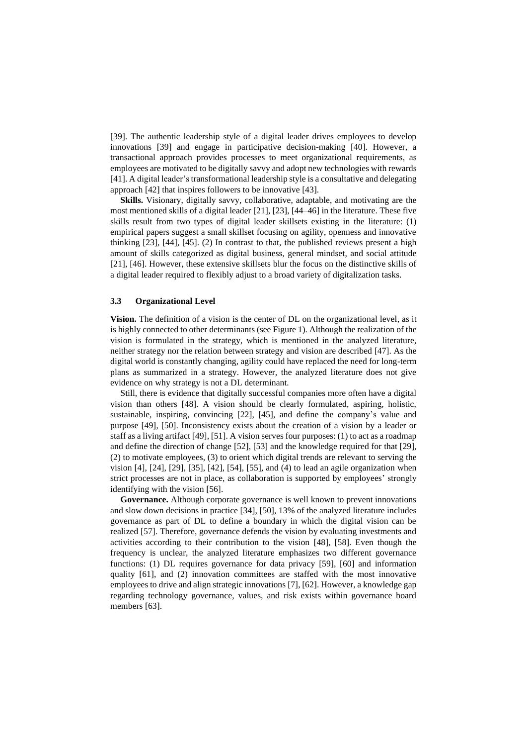[39]. The authentic leadership style of a digital leader drives employees to develop innovations [39] and engage in participative decision-making [40]. However, a transactional approach provides processes to meet organizational requirements, as employees are motivated to be digitally savvy and adopt new technologies with rewards [41]. A digital leader's transformational leadership style is a consultative and delegating approach [42] that inspires followers to be innovative [43].

**Skills.** Visionary, digitally savvy, collaborative, adaptable, and motivating are the most mentioned skills of a digital leader [21], [23], [44–46] in the literature. These five skills result from two types of digital leader skillsets existing in the literature: (1) empirical papers suggest a small skillset focusing on agility, openness and innovative thinking [23], [44], [45]. (2) In contrast to that, the published reviews present a high amount of skills categorized as digital business, general mindset, and social attitude [21], [46]. However, these extensive skillsets blur the focus on the distinctive skills of a digital leader required to flexibly adjust to a broad variety of digitalization tasks.

#### **3.3 Organizational Level**

**Vision.** The definition of a vision is the center of DL on the organizational level, as it is highly connected to other determinants (see Figure 1). Although the realization of the vision is formulated in the strategy, which is mentioned in the analyzed literature, neither strategy nor the relation between strategy and vision are described [47]. As the digital world is constantly changing, agility could have replaced the need for long-term plans as summarized in a strategy. However, the analyzed literature does not give evidence on why strategy is not a DL determinant.

Still, there is evidence that digitally successful companies more often have a digital vision than others [48]. A vision should be clearly formulated, aspiring, holistic, sustainable, inspiring, convincing [22], [45], and define the company's value and purpose [49], [50]. Inconsistency exists about the creation of a vision by a leader or staff as a living artifact [49], [51]. A vision serves four purposes: (1) to act as a roadmap and define the direction of change [52], [53] and the knowledge required for that [29], (2) to motivate employees, (3) to orient which digital trends are relevant to serving the vision [4], [24], [29], [35], [42], [54], [55], and (4) to lead an agile organization when strict processes are not in place, as collaboration is supported by employees' strongly identifying with the vision [56].

**Governance.** Although corporate governance is well known to prevent innovations and slow down decisions in practice [34], [50], 13% of the analyzed literature includes governance as part of DL to define a boundary in which the digital vision can be realized [57]. Therefore, governance defends the vision by evaluating investments and activities according to their contribution to the vision [48], [58]. Even though the frequency is unclear, the analyzed literature emphasizes two different governance functions: (1) DL requires governance for data privacy [59], [60] and information quality [61], and (2) innovation committees are staffed with the most innovative employees to drive and align strategic innovations [7], [62]. However, a knowledge gap regarding technology governance, values, and risk exists within governance board members [63].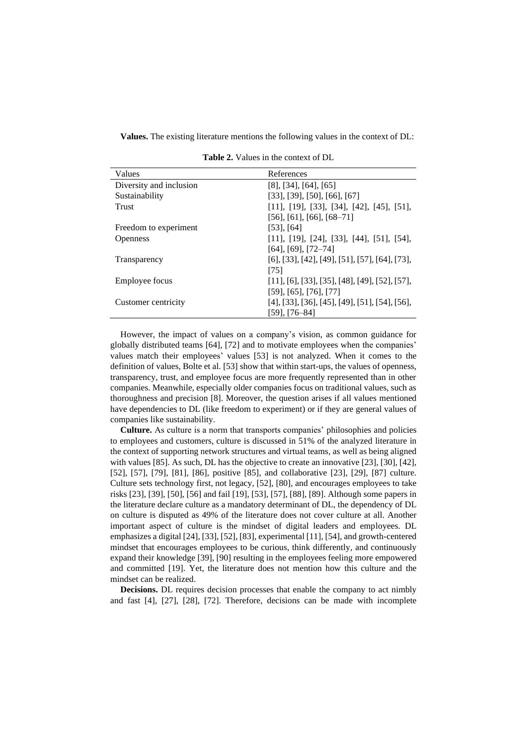**Values.** The existing literature mentions the following values in the context of DL:

| Values                  | References                                        |
|-------------------------|---------------------------------------------------|
| Diversity and inclusion | [8], [34], [64], [65]                             |
| Sustainability          | $[33]$ , [39], [50], [66], [67]                   |
| Trust                   | $[11], [19], [33], [34], [42], [45], [51],$       |
|                         | $[56]$ , [61], [66], [68–71]                      |
| Freedom to experiment   | $[53]$ , $[64]$                                   |
| <b>Openness</b>         | $[11], [19], [24], [33], [44], [51], [54],$       |
|                         | $[64]$ , [69], [72–74]                            |
| Transparency            | $[6]$ , [33], [42], [49], [51], [57], [64], [73], |
|                         | [75]                                              |
| Employee focus          | $[11], [6], [33], [35], [48], [49], [52], [57],$  |
|                         | $[59]$ , $[65]$ , $[76]$ , $[77]$                 |
| Customer centricity     | $[4]$ , [33], [36], [45], [49], [51], [54], [56], |
|                         | [59], [76–84]                                     |

**Table 2.** Values in the context of DL

However, the impact of values on a company's vision, as common guidance for globally distributed teams [64], [72] and to motivate employees when the companies' values match their employees' values [53] is not analyzed. When it comes to the definition of values, Bolte et al. [53] show that within start-ups, the values of openness, transparency, trust, and employee focus are more frequently represented than in other companies. Meanwhile, especially older companies focus on traditional values, such as thoroughness and precision [8]. Moreover, the question arises if all values mentioned have dependencies to DL (like freedom to experiment) or if they are general values of companies like sustainability.

**Culture.** As culture is a norm that transports companies' philosophies and policies to employees and customers, culture is discussed in 51% of the analyzed literature in the context of supporting network structures and virtual teams, as well as being aligned with values [85]. As such, DL has the objective to create an innovative [23], [30], [42], [52], [57], [79], [81], [86], positive [85], and collaborative [23], [29], [87] culture. Culture sets technology first, not legacy, [52], [80], and encourages employees to take risks [23], [39], [50], [56] and fail [19], [53], [57], [88], [89]. Although some papers in the literature declare culture as a mandatory determinant of DL, the dependency of DL on culture is disputed as 49% of the literature does not cover culture at all. Another important aspect of culture is the mindset of digital leaders and employees. DL emphasizes a digital [24], [33], [52], [83], experimental [11], [54], and growth-centered mindset that encourages employees to be curious, think differently, and continuously expand their knowledge [39], [90] resulting in the employees feeling more empowered and committed [19]. Yet, the literature does not mention how this culture and the mindset can be realized.

**Decisions.** DL requires decision processes that enable the company to act nimbly and fast [4], [27], [28], [72]. Therefore, decisions can be made with incomplete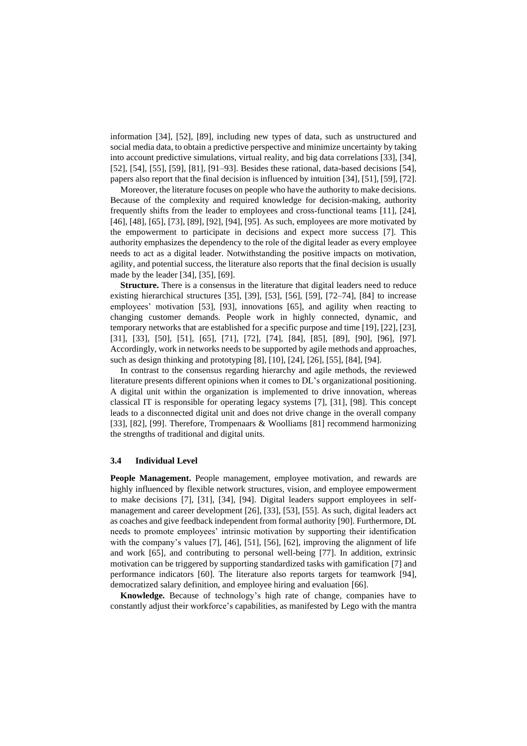information [34], [52], [89], including new types of data, such as unstructured and social media data, to obtain a predictive perspective and minimize uncertainty by taking into account predictive simulations, virtual reality, and big data correlations [33], [34], [52], [54], [55], [59], [81], [91–93]. Besides these rational, data-based decisions [54], papers also report that the final decision is influenced by intuition [34], [51], [59], [72].

Moreover, the literature focuses on people who have the authority to make decisions. Because of the complexity and required knowledge for decision-making, authority frequently shifts from the leader to employees and cross-functional teams [11], [24], [46], [48], [65], [73], [89], [92], [94], [95]. As such, employees are more motivated by the empowerment to participate in decisions and expect more success [7]. This authority emphasizes the dependency to the role of the digital leader as every employee needs to act as a digital leader. Notwithstanding the positive impacts on motivation, agility, and potential success, the literature also reports that the final decision is usually made by the leader [34], [35], [69].

**Structure.** There is a consensus in the literature that digital leaders need to reduce existing hierarchical structures [35], [39], [53], [56], [59], [72–74], [84] to increase employees' motivation [53], [93], innovations [65], and agility when reacting to changing customer demands. People work in highly connected, dynamic, and temporary networks that are established for a specific purpose and time [19], [22], [23], [31], [33], [50], [51], [65], [71], [72], [74], [84], [85], [89], [90], [96], [97]. Accordingly, work in networks needs to be supported by agile methods and approaches, such as design thinking and prototyping [8], [10], [24], [26], [55], [84], [94].

In contrast to the consensus regarding hierarchy and agile methods, the reviewed literature presents different opinions when it comes to DL's organizational positioning. A digital unit within the organization is implemented to drive innovation, whereas classical IT is responsible for operating legacy systems [7], [31], [98]. This concept leads to a disconnected digital unit and does not drive change in the overall company [33], [82], [99]. Therefore, Trompenaars & Woolliams [81] recommend harmonizing the strengths of traditional and digital units.

#### **3.4 Individual Level**

**People Management.** People management, employee motivation, and rewards are highly influenced by flexible network structures, vision, and employee empowerment to make decisions [7], [31], [34], [94]. Digital leaders support employees in selfmanagement and career development [26], [33], [53], [55]. As such, digital leaders act as coaches and give feedback independent from formal authority [90]. Furthermore, DL needs to promote employees' intrinsic motivation by supporting their identification with the company's values [7], [46], [51], [56], [62], improving the alignment of life and work [65], and contributing to personal well-being [77]. In addition, extrinsic motivation can be triggered by supporting standardized tasks with gamification [7] and performance indicators [60]. The literature also reports targets for teamwork [94], democratized salary definition, and employee hiring and evaluation [66].

**Knowledge.** Because of technology's high rate of change, companies have to constantly adjust their workforce's capabilities, as manifested by Lego with the mantra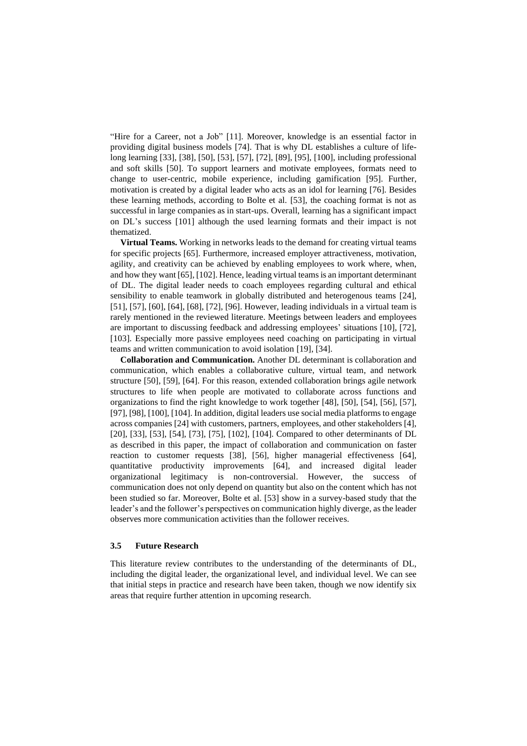"Hire for a Career, not a Job" [11]. Moreover, knowledge is an essential factor in providing digital business models [74]. That is why DL establishes a culture of lifelong learning [33], [38], [50], [53], [57], [72], [89], [95], [100], including professional and soft skills [50]. To support learners and motivate employees, formats need to change to user-centric, mobile experience, including gamification [95]. Further, motivation is created by a digital leader who acts as an idol for learning [76]. Besides these learning methods, according to Bolte et al. [53], the coaching format is not as successful in large companies as in start-ups. Overall, learning has a significant impact on DL's success [101] although the used learning formats and their impact is not thematized.

**Virtual Teams.** Working in networks leads to the demand for creating virtual teams for specific projects [65]. Furthermore, increased employer attractiveness, motivation, agility, and creativity can be achieved by enabling employees to work where, when, and how they want [65], [102]. Hence, leading virtual teams is an important determinant of DL. The digital leader needs to coach employees regarding cultural and ethical sensibility to enable teamwork in globally distributed and heterogenous teams [24], [51], [57], [60], [64], [68], [72], [96]. However, leading individuals in a virtual team is rarely mentioned in the reviewed literature. Meetings between leaders and employees are important to discussing feedback and addressing employees' situations [10], [72], [103]. Especially more passive employees need coaching on participating in virtual teams and written communication to avoid isolation [19], [34].

**Collaboration and Communication.** Another DL determinant is collaboration and communication, which enables a collaborative culture, virtual team, and network structure [50], [59], [64]. For this reason, extended collaboration brings agile network structures to life when people are motivated to collaborate across functions and organizations to find the right knowledge to work together [48], [50], [54], [56], [57], [97], [98], [100], [104]. In addition, digital leaders use social media platforms to engage across companies [24] with customers, partners, employees, and other stakeholders [4], [20], [33], [53], [54], [73], [75], [102], [104]. Compared to other determinants of DL as described in this paper, the impact of collaboration and communication on faster reaction to customer requests [38], [56], higher managerial effectiveness [64], quantitative productivity improvements [64], and increased digital leader organizational legitimacy is non-controversial. However, the success of communication does not only depend on quantity but also on the content which has not been studied so far. Moreover, Bolte et al. [53] show in a survey-based study that the leader's and the follower's perspectives on communication highly diverge, as the leader observes more communication activities than the follower receives.

#### **3.5 Future Research**

This literature review contributes to the understanding of the determinants of DL, including the digital leader, the organizational level, and individual level. We can see that initial steps in practice and research have been taken, though we now identify six areas that require further attention in upcoming research.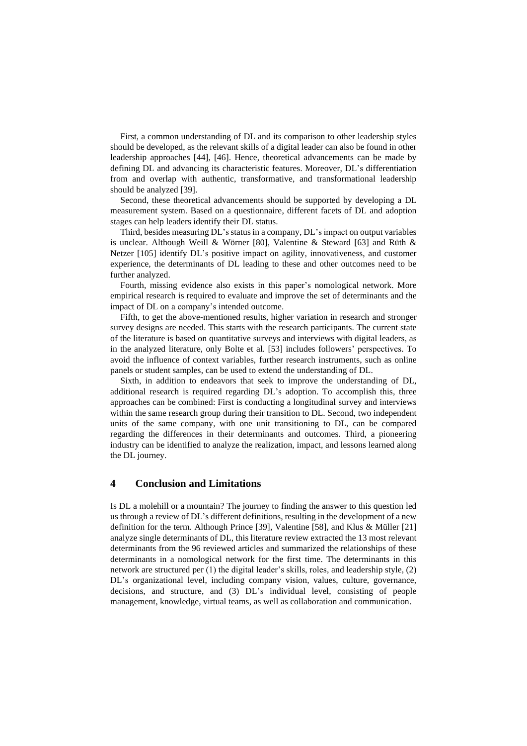First, a common understanding of DL and its comparison to other leadership styles should be developed, as the relevant skills of a digital leader can also be found in other leadership approaches [44], [46]. Hence, theoretical advancements can be made by defining DL and advancing its characteristic features. Moreover, DL's differentiation from and overlap with authentic, transformative, and transformational leadership should be analyzed [39].

Second, these theoretical advancements should be supported by developing a DL measurement system. Based on a questionnaire, different facets of DL and adoption stages can help leaders identify their DL status.

Third, besides measuring DL's status in a company, DL's impact on output variables is unclear. Although Weill & Wörner [80], Valentine & Steward [63] and Rüth & Netzer [105] identify DL's positive impact on agility, innovativeness, and customer experience, the determinants of DL leading to these and other outcomes need to be further analyzed.

Fourth, missing evidence also exists in this paper's nomological network. More empirical research is required to evaluate and improve the set of determinants and the impact of DL on a company's intended outcome.

Fifth, to get the above-mentioned results, higher variation in research and stronger survey designs are needed. This starts with the research participants. The current state of the literature is based on quantitative surveys and interviews with digital leaders, as in the analyzed literature, only Bolte et al. [53] includes followers' perspectives. To avoid the influence of context variables, further research instruments, such as online panels or student samples, can be used to extend the understanding of DL.

Sixth, in addition to endeavors that seek to improve the understanding of DL, additional research is required regarding DL's adoption. To accomplish this, three approaches can be combined: First is conducting a longitudinal survey and interviews within the same research group during their transition to DL. Second, two independent units of the same company, with one unit transitioning to DL, can be compared regarding the differences in their determinants and outcomes. Third, a pioneering industry can be identified to analyze the realization, impact, and lessons learned along the DL journey.

#### **4 Conclusion and Limitations**

Is DL a molehill or a mountain? The journey to finding the answer to this question led us through a review of DL's different definitions, resulting in the development of a new definition for the term. Although Prince [39], Valentine [58], and Klus & Müller [21] analyze single determinants of DL, this literature review extracted the 13 most relevant determinants from the 96 reviewed articles and summarized the relationships of these determinants in a nomological network for the first time. The determinants in this network are structured per (1) the digital leader's skills, roles, and leadership style, (2) DL's organizational level, including company vision, values, culture, governance, decisions, and structure, and (3) DL's individual level, consisting of people management, knowledge, virtual teams, as well as collaboration and communication.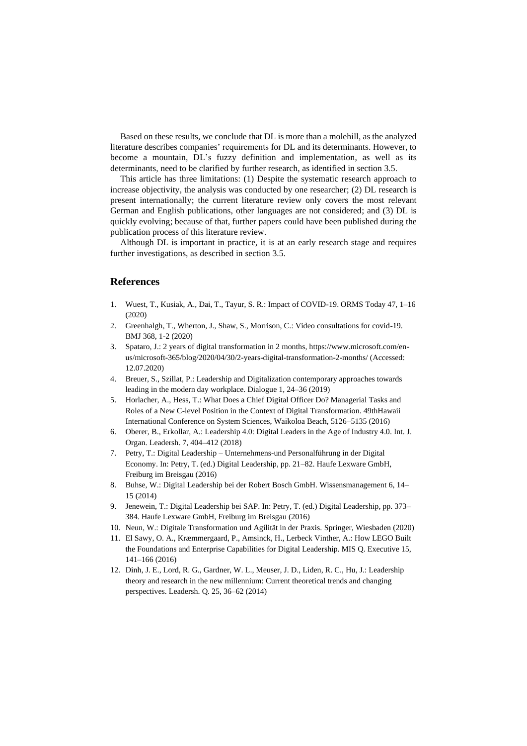Based on these results, we conclude that DL is more than a molehill, as the analyzed literature describes companies' requirements for DL and its determinants. However, to become a mountain, DL's fuzzy definition and implementation, as well as its determinants, need to be clarified by further research, as identified in section 3.5.

This article has three limitations: (1) Despite the systematic research approach to increase objectivity, the analysis was conducted by one researcher; (2) DL research is present internationally; the current literature review only covers the most relevant German and English publications, other languages are not considered; and (3) DL is quickly evolving; because of that, further papers could have been published during the publication process of this literature review.

Although DL is important in practice, it is at an early research stage and requires further investigations, as described in section 3.5.

#### **References**

- 1. Wuest, T., Kusiak, A., Dai, T., Tayur, S. R.: Impact of COVID-19. ORMS Today 47, 1–16 (2020)
- 2. Greenhalgh, T., Wherton, J., Shaw, S., Morrison, C.: Video consultations for covid-19. BMJ 368, 1-2 (2020)
- 3. Spataro, J.: 2 years of digital transformation in 2 months, https://www.microsoft.com/enus/microsoft-365/blog/2020/04/30/2-years-digital-transformation-2-months/ (Accessed: 12.07.2020)
- 4. Breuer, S., Szillat, P.: Leadership and Digitalization contemporary approaches towards leading in the modern day workplace. Dialogue 1, 24–36 (2019)
- 5. Horlacher, A., Hess, T.: What Does a Chief Digital Officer Do? Managerial Tasks and Roles of a New C-level Position in the Context of Digital Transformation. 49thHawaii International Conference on System Sciences, Waikoloa Beach, 5126–5135 (2016)
- 6. Oberer, B., Erkollar, A.: Leadership 4.0: Digital Leaders in the Age of Industry 4.0. Int. J. Organ. Leadersh. 7, 404–412 (2018)
- 7. Petry, T.: Digital Leadership Unternehmens-und Personalführung in der Digital Economy. In: Petry, T. (ed.) Digital Leadership, pp. 21–82. Haufe Lexware GmbH, Freiburg im Breisgau (2016)
- 8. Buhse, W.: Digital Leadership bei der Robert Bosch GmbH. Wissensmanagement 6, 14– 15 (2014)
- 9. Jenewein, T.: Digital Leadership bei SAP. In: Petry, T. (ed.) Digital Leadership, pp. 373– 384. Haufe Lexware GmbH, Freiburg im Breisgau (2016)
- 10. Neun, W.: Digitale Transformation und Agilität in der Praxis. Springer, Wiesbaden (2020)
- 11. El Sawy, O. A., Kræmmergaard, P., Amsinck, H., Lerbeck Vinther, A.: How LEGO Built the Foundations and Enterprise Capabilities for Digital Leadership. MIS Q. Executive 15, 141–166 (2016)
- 12. Dinh, J. E., Lord, R. G., Gardner, W. L., Meuser, J. D., Liden, R. C., Hu, J.: Leadership theory and research in the new millennium: Current theoretical trends and changing perspectives. Leadersh. Q. 25, 36–62 (2014)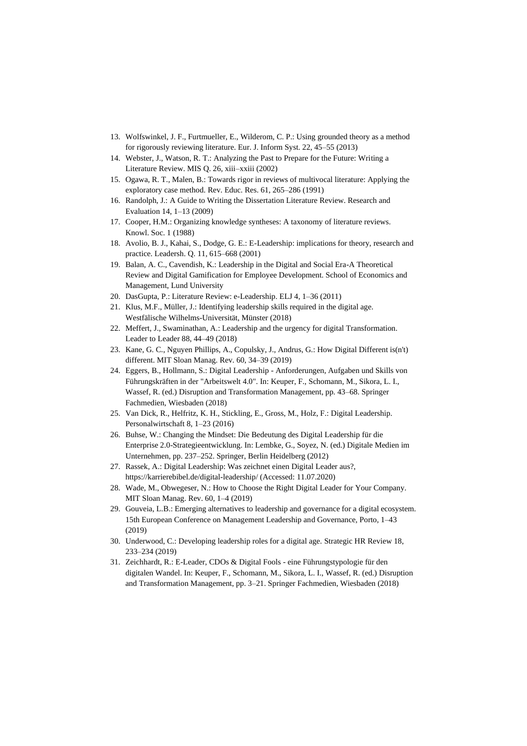- 13. Wolfswinkel, J. F., Furtmueller, E., Wilderom, C. P.: Using grounded theory as a method for rigorously reviewing literature. Eur. J. Inform Syst. 22, 45–55 (2013)
- 14. Webster, J., Watson, R. T.: Analyzing the Past to Prepare for the Future: Writing a Literature Review. MIS Q. 26, xiii–xxiii (2002)
- 15. Ogawa, R. T., Malen, B.: Towards rigor in reviews of multivocal literature: Applying the exploratory case method. Rev. Educ. Res. 61, 265–286 (1991)
- 16. Randolph, J.: A Guide to Writing the Dissertation Literature Review. Research and Evaluation 14, 1–13 (2009)
- 17. Cooper, H.M.: Organizing knowledge syntheses: A taxonomy of literature reviews. Knowl. Soc. 1 (1988)
- 18. Avolio, B. J., Kahai, S., Dodge, G. E.: E-Leadership: implications for theory, research and practice. Leadersh. Q. 11, 615–668 (2001)
- 19. Balan, A. C., Cavendish, K.: Leadership in the Digital and Social Era-A Theoretical Review and Digital Gamification for Employee Development. School of Economics and Management, Lund University
- 20. DasGupta, P.: Literature Review: e-Leadership. ELJ 4, 1–36 (2011)
- 21. Klus, M.F., Müller, J.: Identifying leadership skills required in the digital age. Westfälische Wilhelms-Universität, Münster (2018)
- 22. Meffert, J., Swaminathan, A.: Leadership and the urgency for digital Transformation. Leader to Leader 88, 44–49 (2018)
- 23. Kane, G. C., Nguyen Phillips, A., Copulsky, J., Andrus, G.: How Digital Different is(n't) different. MIT Sloan Manag. Rev. 60, 34–39 (2019)
- 24. Eggers, B., Hollmann, S.: Digital Leadership Anforderungen, Aufgaben und Skills von Führungskräften in der "Arbeitswelt 4.0". In: Keuper, F., Schomann, M., Sikora, L. I., Wassef, R. (ed.) Disruption and Transformation Management, pp. 43–68. Springer Fachmedien, Wiesbaden (2018)
- 25. Van Dick, R., Helfritz, K. H., Stickling, E., Gross, M., Holz, F.: Digital Leadership. Personalwirtschaft 8, 1–23 (2016)
- 26. Buhse, W.: Changing the Mindset: Die Bedeutung des Digital Leadership für die Enterprise 2.0-Strategieentwicklung. In: Lembke, G., Soyez, N. (ed.) Digitale Medien im Unternehmen, pp. 237–252. Springer, Berlin Heidelberg (2012)
- 27. Rassek, A.: Digital Leadership: Was zeichnet einen Digital Leader aus?, https://karrierebibel.de/digital-leadership/ (Accessed: 11.07.2020)
- 28. Wade, M., Obwegeser, N.: How to Choose the Right Digital Leader for Your Company. MIT Sloan Manag. Rev. 60, 1–4 (2019)
- 29. Gouveia, L.B.: Emerging alternatives to leadership and governance for a digital ecosystem. 15th European Conference on Management Leadership and Governance, Porto, 1–43 (2019)
- 30. Underwood, C.: Developing leadership roles for a digital age. Strategic HR Review 18, 233–234 (2019)
- 31. Zeichhardt, R.: E-Leader, CDOs & Digital Fools eine Führungstypologie für den digitalen Wandel. In: Keuper, F., Schomann, M., Sikora, L. I., Wassef, R. (ed.) Disruption and Transformation Management, pp. 3–21. Springer Fachmedien, Wiesbaden (2018)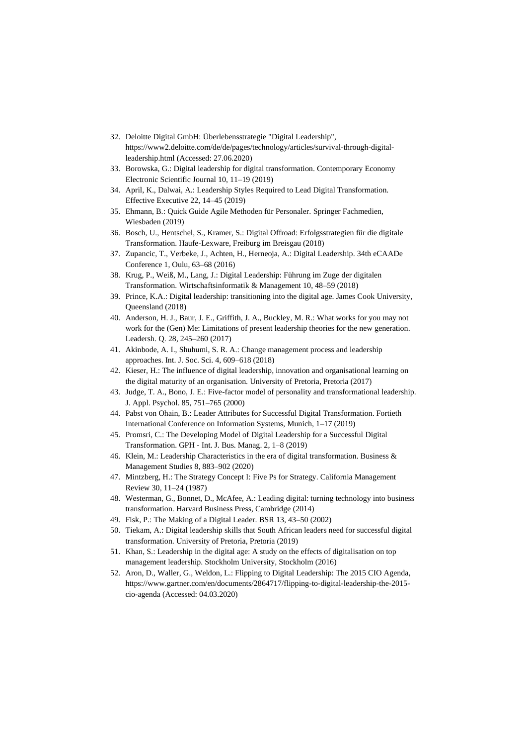- 32. Deloitte Digital GmbH: Überlebensstrategie "Digital Leadership", https://www2.deloitte.com/de/de/pages/technology/articles/survival-through-digitalleadership.html (Accessed: 27.06.2020)
- 33. Borowska, G.: Digital leadership for digital transformation. Contemporary Economy Electronic Scientific Journal 10, 11–19 (2019)
- 34. April, K., Dalwai, A.: Leadership Styles Required to Lead Digital Transformation. Effective Executive 22, 14–45 (2019)
- 35. Ehmann, B.: Quick Guide Agile Methoden für Personaler. Springer Fachmedien, Wiesbaden (2019)
- 36. Bosch, U., Hentschel, S., Kramer, S.: Digital Offroad: Erfolgsstrategien für die digitale Transformation. Haufe-Lexware, Freiburg im Breisgau (2018)
- 37. Zupancic, T., Verbeke, J., Achten, H., Herneoja, A.: Digital Leadership. 34th eCAADe Conference 1, Oulu, 63–68 (2016)
- 38. Krug, P., Weiß, M., Lang, J.: Digital Leadership: Führung im Zuge der digitalen Transformation. Wirtschaftsinformatik & Management 10, 48–59 (2018)
- 39. Prince, K.A.: Digital leadership: transitioning into the digital age. James Cook University, Queensland (2018)
- 40. Anderson, H. J., Baur, J. E., Griffith, J. A., Buckley, M. R.: What works for you may not work for the (Gen) Me: Limitations of present leadership theories for the new generation. Leadersh. Q. 28, 245–260 (2017)
- 41. Akinbode, A. I., Shuhumi, S. R. A.: Change management process and leadership approaches. Int. J. Soc. Sci. 4, 609–618 (2018)
- 42. Kieser, H.: The influence of digital leadership, innovation and organisational learning on the digital maturity of an organisation. University of Pretoria, Pretoria (2017)
- 43. Judge, T. A., Bono, J. E.: Five-factor model of personality and transformational leadership. J. Appl. Psychol. 85, 751–765 (2000)
- 44. Pabst von Ohain, B.: Leader Attributes for Successful Digital Transformation. Fortieth International Conference on Information Systems, Munich, 1–17 (2019)
- 45. Promsri, C.: The Developing Model of Digital Leadership for a Successful Digital Transformation. GPH - Int. J. Bus. Manag. 2, 1–8 (2019)
- 46. Klein, M.: Leadership Characteristics in the era of digital transformation. Business & Management Studies 8, 883–902 (2020)
- 47. Mintzberg, H.: The Strategy Concept I: Five Ps for Strategy. California Management Review 30, 11–24 (1987)
- 48. Westerman, G., Bonnet, D., McAfee, A.: Leading digital: turning technology into business transformation. Harvard Business Press, Cambridge (2014)
- 49. Fisk, P.: The Making of a Digital Leader. BSR 13, 43–50 (2002)
- 50. Tiekam, A.: Digital leadership skills that South African leaders need for successful digital transformation. University of Pretoria, Pretoria (2019)
- 51. Khan, S.: Leadership in the digital age: A study on the effects of digitalisation on top management leadership. Stockholm University, Stockholm (2016)
- 52. Aron, D., Waller, G., Weldon, L.: Flipping to Digital Leadership: The 2015 CIO Agenda, https://www.gartner.com/en/documents/2864717/flipping-to-digital-leadership-the-2015 cio-agenda (Accessed: 04.03.2020)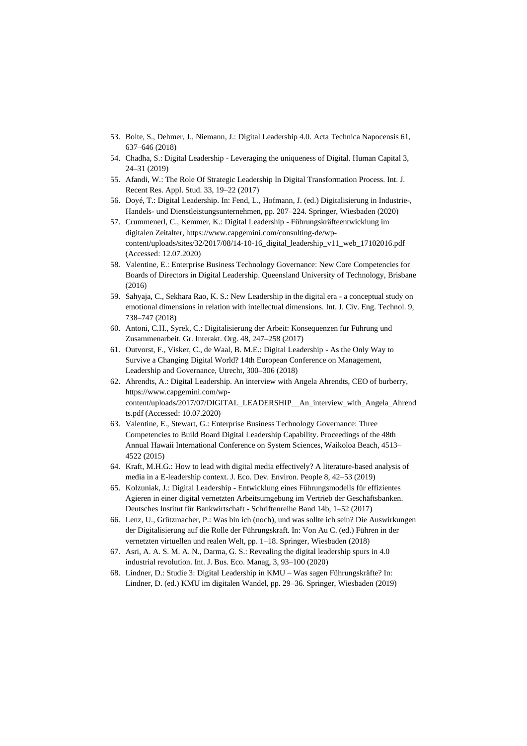- 53. Bolte, S., Dehmer, J., Niemann, J.: Digital Leadership 4.0. Acta Technica Napocensis 61, 637–646 (2018)
- 54. Chadha, S.: Digital Leadership Leveraging the uniqueness of Digital. Human Capital 3, 24–31 (2019)
- 55. Afandi, W.: The Role Of Strategic Leadership In Digital Transformation Process. Int. J. Recent Res. Appl. Stud. 33, 19–22 (2017)
- 56. Doyé, T.: Digital Leadership. In: Fend, L., Hofmann, J. (ed.) Digitalisierung in Industrie-, Handels- und Dienstleistungsunternehmen, pp. 207–224. Springer, Wiesbaden (2020)
- 57. Crummenerl, C., Kemmer, K.: Digital Leadership Führungskräfteentwicklung im digitalen Zeitalter, https://www.capgemini.com/consulting-de/wpcontent/uploads/sites/32/2017/08/14-10-16\_digital\_leadership\_v11\_web\_17102016.pdf (Accessed: 12.07.2020)
- 58. Valentine, E.: Enterprise Business Technology Governance: New Core Competencies for Boards of Directors in Digital Leadership. Queensland University of Technology, Brisbane (2016)
- 59. Sahyaja, C., Sekhara Rao, K. S.: New Leadership in the digital era a conceptual study on emotional dimensions in relation with intellectual dimensions. Int. J. Civ. Eng. Technol. 9, 738–747 (2018)
- 60. Antoni, C.H., Syrek, C.: Digitalisierung der Arbeit: Konsequenzen für Führung und Zusammenarbeit. Gr. Interakt. Org. 48, 247–258 (2017)
- 61. Outvorst, F., Visker, C., de Waal, B. M.E.: Digital Leadership As the Only Way to Survive a Changing Digital World? 14th European Conference on Management, Leadership and Governance, Utrecht, 300–306 (2018)
- 62. Ahrendts, A.: Digital Leadership. An interview with Angela Ahrendts, CEO of burberry, https://www.capgemini.com/wpcontent/uploads/2017/07/DIGITAL\_LEADERSHIP\_An\_interview\_with\_Angela\_Ahrend ts.pdf (Accessed: 10.07.2020)
- 63. Valentine, E., Stewart, G.: Enterprise Business Technology Governance: Three Competencies to Build Board Digital Leadership Capability. Proceedings of the 48th Annual Hawaii International Conference on System Sciences, Waikoloa Beach, 4513– 4522 (2015)
- 64. Kraft, M.H.G.: How to lead with digital media effectively? A literature-based analysis of media in a E-leadership context. J. Eco. Dev. Environ. People 8, 42–53 (2019)
- 65. Kolzuniak, J.: Digital Leadership Entwicklung eines Führungsmodells für effizientes Agieren in einer digital vernetzten Arbeitsumgebung im Vertrieb der Geschäftsbanken. Deutsches Institut für Bankwirtschaft - Schriftenreihe Band 14b, 1–52 (2017)
- 66. Lenz, U., Grützmacher, P.: Was bin ich (noch), und was sollte ich sein? Die Auswirkungen der Digitalisierung auf die Rolle der Führungskraft. In: Von Au C. (ed.) Führen in der vernetzten virtuellen und realen Welt, pp. 1–18. Springer, Wiesbaden (2018)
- 67. Asri, A. A. S. M. A. N., Darma, G. S.: Revealing the digital leadership spurs in 4.0 industrial revolution. Int. J. Bus. Eco. Manag, 3, 93–100 (2020)
- 68. Lindner, D.: Studie 3: Digital Leadership in KMU Was sagen Führungskräfte? In: Lindner, D. (ed.) KMU im digitalen Wandel, pp. 29–36. Springer, Wiesbaden (2019)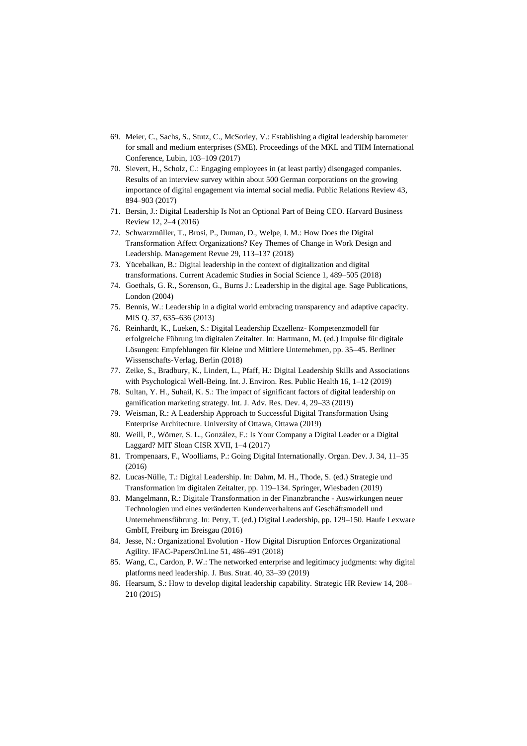- 69. Meier, C., Sachs, S., Stutz, C., McSorley, V.: Establishing a digital leadership barometer for small and medium enterprises (SME). Proceedings of the MKL and TIIM International Conference, Lubin, 103–109 (2017)
- 70. Sievert, H., Scholz, C.: Engaging employees in (at least partly) disengaged companies. Results of an interview survey within about 500 German corporations on the growing importance of digital engagement via internal social media. Public Relations Review 43, 894–903 (2017)
- 71. Bersin, J.: Digital Leadership Is Not an Optional Part of Being CEO. Harvard Business Review 12, 2–4 (2016)
- 72. Schwarzmüller, T., Brosi, P., Duman, D., Welpe, I. M.: How Does the Digital Transformation Affect Organizations? Key Themes of Change in Work Design and Leadership. Management Revue 29, 113–137 (2018)
- 73. Yücebalkan, B.: Digital leadership in the context of digitalization and digital transformations. Current Academic Studies in Social Science 1, 489–505 (2018)
- 74. Goethals, G. R., Sorenson, G., Burns J.: Leadership in the digital age. Sage Publications, London (2004)
- 75. Bennis, W.: Leadership in a digital world embracing transparency and adaptive capacity. MIS Q. 37, 635–636 (2013)
- 76. Reinhardt, K., Lueken, S.: Digital Leadership Exzellenz- Kompetenzmodell für erfolgreiche Führung im digitalen Zeitalter. In: Hartmann, M. (ed.) Impulse für digitale Lösungen: Empfehlungen für Kleine und Mittlere Unternehmen, pp. 35–45. Berliner Wissenschafts-Verlag, Berlin (2018)
- 77. Zeike, S., Bradbury, K., Lindert, L., Pfaff, H.: Digital Leadership Skills and Associations with Psychological Well-Being. Int. J. Environ. Res. Public Health 16, 1–12 (2019)
- 78. Sultan, Y. H., Suhail, K. S.: The impact of significant factors of digital leadership on gamification marketing strategy. Int. J. Adv. Res. Dev. 4, 29–33 (2019)
- 79. Weisman, R.: A Leadership Approach to Successful Digital Transformation Using Enterprise Architecture. University of Ottawa, Ottawa (2019)
- 80. Weill, P., Wörner, S. L., González, F.: Is Your Company a Digital Leader or a Digital Laggard? MIT Sloan CISR XVII, 1–4 (2017)
- 81. Trompenaars, F., Woolliams, P.: Going Digital Internationally. Organ. Dev. J. 34, 11–35 (2016)
- 82. Lucas-Nülle, T.: Digital Leadership. In: Dahm, M. H., Thode, S. (ed.) Strategie und Transformation im digitalen Zeitalter, pp. 119–134. Springer, Wiesbaden (2019)
- 83. Mangelmann, R.: Digitale Transformation in der Finanzbranche Auswirkungen neuer Technologien und eines veränderten Kundenverhaltens auf Geschäftsmodell und Unternehmensführung. In: Petry, T. (ed.) Digital Leadership, pp. 129–150. Haufe Lexware GmbH, Freiburg im Breisgau (2016)
- 84. Jesse, N.: Organizational Evolution How Digital Disruption Enforces Organizational Agility. IFAC-PapersOnLine 51, 486–491 (2018)
- 85. Wang, C., Cardon, P. W.: The networked enterprise and legitimacy judgments: why digital platforms need leadership. J. Bus. Strat. 40, 33–39 (2019)
- 86. Hearsum, S.: How to develop digital leadership capability. Strategic HR Review 14, 208– 210 (2015)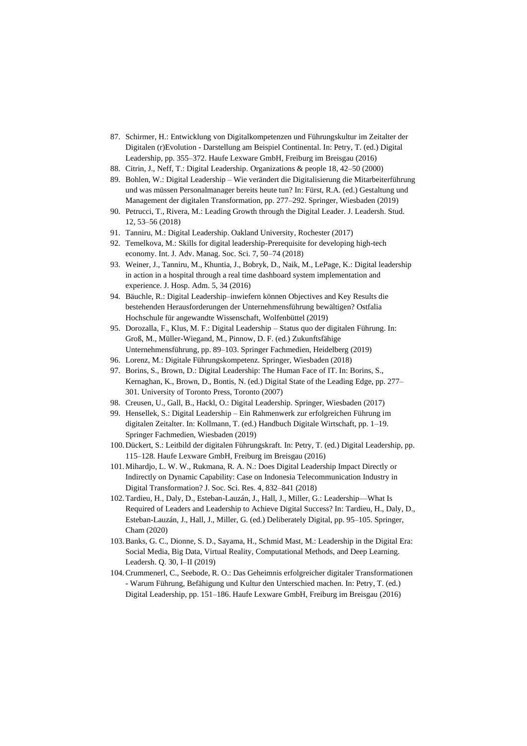- 87. Schirmer, H.: Entwicklung von Digitalkompetenzen und Führungskultur im Zeitalter der Digitalen (r)Evolution - Darstellung am Beispiel Continental. In: Petry, T. (ed.) Digital Leadership, pp. 355–372. Haufe Lexware GmbH, Freiburg im Breisgau (2016)
- 88. Citrin, J., Neff, T.: Digital Leadership. Organizations & people 18, 42–50 (2000)
- 89. Bohlen, W.: Digital Leadership Wie verändert die Digitalisierung die Mitarbeiterführung und was müssen Personalmanager bereits heute tun? In: Fürst, R.A. (ed.) Gestaltung und Management der digitalen Transformation, pp. 277–292. Springer, Wiesbaden (2019)
- 90. Petrucci, T., Rivera, M.: Leading Growth through the Digital Leader. J. Leadersh. Stud. 12, 53–56 (2018)
- 91. Tanniru, M.: Digital Leadership. Oakland University, Rochester (2017)
- 92. Temelkova, M.: Skills for digital leadership-Prerequisite for developing high-tech economy. Int. J. Adv. Manag. Soc. Sci. 7, 50–74 (2018)
- 93. Weiner, J., Tanniru, M., Khuntia, J., Bobryk, D., Naik, M., LePage, K.: Digital leadership in action in a hospital through a real time dashboard system implementation and experience. J. Hosp. Adm. 5, 34 (2016)
- 94. Bäuchle, R.: Digital Leadership–inwiefern können Objectives and Key Results die bestehenden Herausforderungen der Unternehmensführung bewältigen? Ostfalia Hochschule für angewandte Wissenschaft, Wolfenbüttel (2019)
- 95. Dorozalla, F., Klus, M. F.: Digital Leadership Status quo der digitalen Führung. In: Groß, M., Müller-Wiegand, M., Pinnow, D. F. (ed.) Zukunftsfähige Unternehmensführung, pp. 89–103. Springer Fachmedien, Heidelberg (2019)
- 96. Lorenz, M.: Digitale Führungskompetenz. Springer, Wiesbaden (2018)
- 97. Borins, S., Brown, D.: Digital Leadership: The Human Face of IT. In: Borins, S., Kernaghan, K., Brown, D., Bontis, N. (ed.) Digital State of the Leading Edge, pp. 277– 301. University of Toronto Press, Toronto (2007)
- 98. Creusen, U., Gall, B., Hackl, O.: Digital Leadership. Springer, Wiesbaden (2017)
- 99. Hensellek, S.: Digital Leadership Ein Rahmenwerk zur erfolgreichen Führung im digitalen Zeitalter. In: Kollmann, T. (ed.) Handbuch Digitale Wirtschaft, pp. 1–19. Springer Fachmedien, Wiesbaden (2019)
- 100.Dückert, S.: Leitbild der digitalen Führungskraft. In: Petry, T. (ed.) Digital Leadership, pp. 115–128. Haufe Lexware GmbH, Freiburg im Breisgau (2016)
- 101.Mihardjo, L. W. W., Rukmana, R. A. N.: Does Digital Leadership Impact Directly or Indirectly on Dynamic Capability: Case on Indonesia Telecommunication Industry in Digital Transformation? J. Soc. Sci. Res. 4, 832–841 (2018)
- 102.Tardieu, H., Daly, D., Esteban-Lauzán, J., Hall, J., Miller, G.: Leadership—What Is Required of Leaders and Leadership to Achieve Digital Success? In: Tardieu, H., Daly, D., Esteban-Lauzán, J., Hall, J., Miller, G. (ed.) Deliberately Digital, pp. 95–105. Springer, Cham (2020)
- 103.Banks, G. C., Dionne, S. D., Sayama, H., Schmid Mast, M.: Leadership in the Digital Era: Social Media, Big Data, Virtual Reality, Computational Methods, and Deep Learning. Leadersh. Q. 30, I–II (2019)
- 104.Crummenerl, C., Seebode, R. O.: Das Geheimnis erfolgreicher digitaler Transformationen - Warum Führung, Befähigung und Kultur den Unterschied machen. In: Petry, T. (ed.) Digital Leadership, pp. 151–186. Haufe Lexware GmbH, Freiburg im Breisgau (2016)